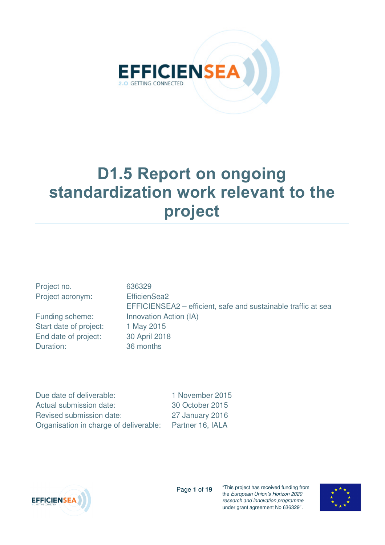

# **D1.5 Report on ongoing standardization work relevant to the project**

| Project no.            | 636329                                                        |
|------------------------|---------------------------------------------------------------|
| Project acronym:       | EfficienSea2                                                  |
|                        | EFFICIENSEA2 – efficient, safe and sustainable traffic at sea |
| Funding scheme:        | Innovation Action (IA)                                        |
| Start date of project: | 1 May 2015                                                    |
| End date of project:   | 30 April 2018                                                 |
| Duration:              | 36 months                                                     |
|                        |                                                               |

Due date of deliverable: 1 November 2015 Actual submission date: 30 October 2015 Revised submission date: 27 January 2016 Organisation in charge of deliverable: Partner 16, IALA



Page **1** of **19**

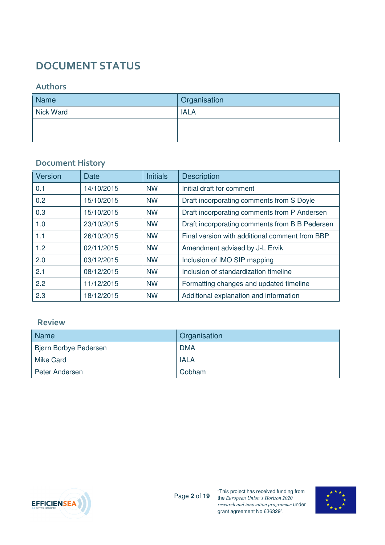## **DOCUMENT STATUS**

#### **Authors**

| <b>Name</b>      | <b>Organisation</b> |
|------------------|---------------------|
| <b>Nick Ward</b> | <b>IALA</b>         |
|                  |                     |
|                  |                     |

#### **Document History**

| Version | <b>Date</b> | <b>Initials</b> | <b>Description</b>                             |
|---------|-------------|-----------------|------------------------------------------------|
| 0.1     | 14/10/2015  | <b>NW</b>       | Initial draft for comment                      |
| 0.2     | 15/10/2015  | <b>NW</b>       | Draft incorporating comments from S Doyle      |
| 0.3     | 15/10/2015  | <b>NW</b>       | Draft incorporating comments from P Andersen   |
| 1.0     | 23/10/2015  | <b>NW</b>       | Draft incorporating comments from B B Pedersen |
| 1.1     | 26/10/2015  | <b>NW</b>       | Final version with additional comment from BBP |
| 1.2     | 02/11/2015  | <b>NW</b>       | Amendment advised by J-L Ervik                 |
| 2.0     | 03/12/2015  | <b>NW</b>       | Inclusion of IMO SIP mapping                   |
| 2.1     | 08/12/2015  | <b>NW</b>       | Inclusion of standardization timeline          |
| 2.2     | 11/12/2015  | <b>NW</b>       | Formatting changes and updated timeline        |
| 2.3     | 18/12/2015  | <b>NW</b>       | Additional explanation and information         |

#### **Review**

| Name <sup>1</sup>     | Organisation |
|-----------------------|--------------|
| Bjørn Borbye Pedersen | <b>DMA</b>   |
| <b>Mike Card</b>      | <b>IALA</b>  |
| Peter Andersen        | Cobham       |



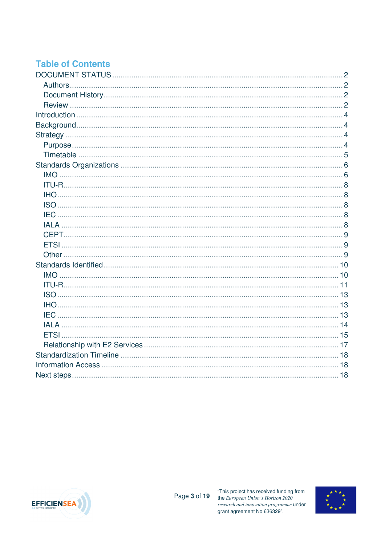### **Table of Contents**



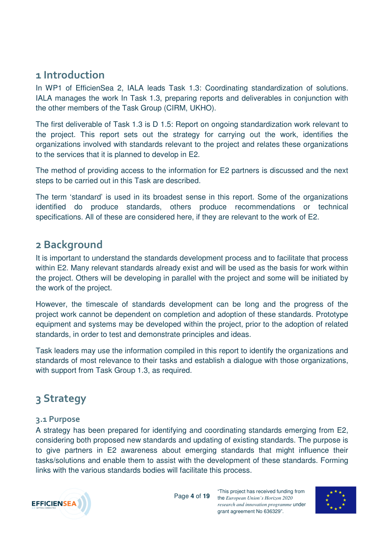### **1 Introduction**

In WP1 of EfficienSea 2, IALA leads Task 1.3: Coordinating standardization of solutions. IALA manages the work In Task 1.3, preparing reports and deliverables in conjunction with the other members of the Task Group (CIRM, UKHO).

The first deliverable of Task 1.3 is D 1.5: Report on ongoing standardization work relevant to the project. This report sets out the strategy for carrying out the work, identifies the organizations involved with standards relevant to the project and relates these organizations to the services that it is planned to develop in E2.

The method of providing access to the information for E2 partners is discussed and the next steps to be carried out in this Task are described.

The term 'standard' is used in its broadest sense in this report. Some of the organizations identified do produce standards, others produce recommendations or technical specifications. All of these are considered here, if they are relevant to the work of E2.

### **2 Background**

It is important to understand the standards development process and to facilitate that process within E2. Many relevant standards already exist and will be used as the basis for work within the project. Others will be developing in parallel with the project and some will be initiated by the work of the project.

However, the timescale of standards development can be long and the progress of the project work cannot be dependent on completion and adoption of these standards. Prototype equipment and systems may be developed within the project, prior to the adoption of related standards, in order to test and demonstrate principles and ideas.

Task leaders may use the information compiled in this report to identify the organizations and standards of most relevance to their tasks and establish a dialogue with those organizations, with support from Task Group 1.3, as required.

## **3 Strategy**

#### **3.1 Purpose**

A strategy has been prepared for identifying and coordinating standards emerging from E2, considering both proposed new standards and updating of existing standards. The purpose is to give partners in E2 awareness about emerging standards that might influence their tasks/solutions and enable them to assist with the development of these standards. Forming links with the various standards bodies will facilitate this process.



Page **4** of **19**

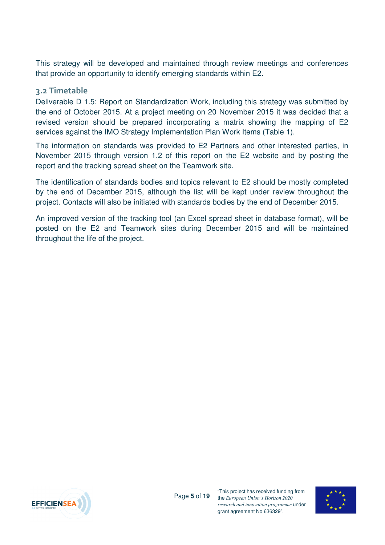This strategy will be developed and maintained through review meetings and conferences that provide an opportunity to identify emerging standards within E2.

#### **3.2 Timetable**

Deliverable D 1.5: Report on Standardization Work, including this strategy was submitted by the end of October 2015. At a project meeting on 20 November 2015 it was decided that a revised version should be prepared incorporating a matrix showing the mapping of E2 services against the IMO Strategy Implementation Plan Work Items (Table 1).

The information on standards was provided to E2 Partners and other interested parties, in November 2015 through version 1.2 of this report on the E2 website and by posting the report and the tracking spread sheet on the Teamwork site.

The identification of standards bodies and topics relevant to E2 should be mostly completed by the end of December 2015, although the list will be kept under review throughout the project. Contacts will also be initiated with standards bodies by the end of December 2015.

An improved version of the tracking tool (an Excel spread sheet in database format), will be posted on the E2 and Teamwork sites during December 2015 and will be maintained throughout the life of the project.



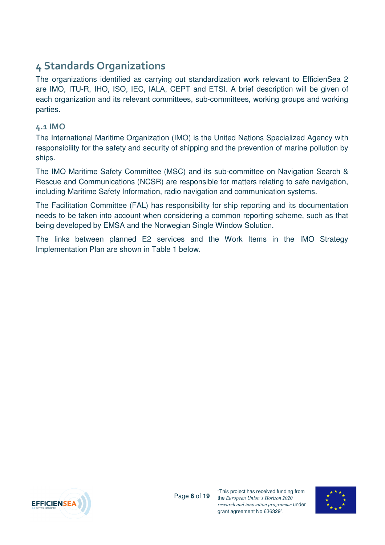## **4 Standards Organizations**

The organizations identified as carrying out standardization work relevant to EfficienSea 2 are IMO, ITU-R, IHO, ISO, IEC, IALA, CEPT and ETSI. A brief description will be given of each organization and its relevant committees, sub-committees, working groups and working parties.

#### **4.1 IMO**

The International Maritime Organization (IMO) is the United Nations Specialized Agency with responsibility for the safety and security of shipping and the prevention of marine pollution by ships.

The IMO Maritime Safety Committee (MSC) and its sub-committee on Navigation Search & Rescue and Communications (NCSR) are responsible for matters relating to safe navigation, including Maritime Safety Information, radio navigation and communication systems.

The Facilitation Committee (FAL) has responsibility for ship reporting and its documentation needs to be taken into account when considering a common reporting scheme, such as that being developed by EMSA and the Norwegian Single Window Solution.

The links between planned E2 services and the Work Items in the IMO Strategy Implementation Plan are shown in Table 1 below.



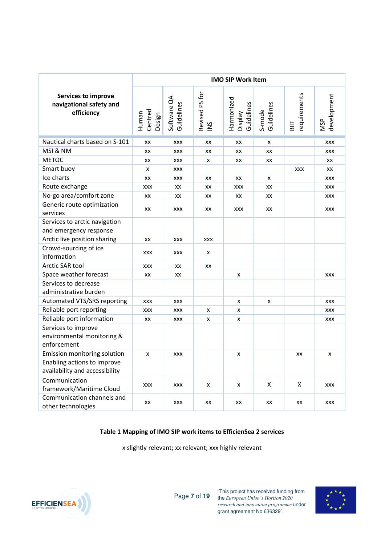|                                                                     | <b>IMO SIP Work Item</b>   |                           |                                |                                            |                      |                     |                           |  |
|---------------------------------------------------------------------|----------------------------|---------------------------|--------------------------------|--------------------------------------------|----------------------|---------------------|---------------------------|--|
| <b>Services to improve</b><br>navigational safety and<br>efficiency | Centred<br>Human<br>Design | Software QA<br>Guidelines | Revised PS for<br>$\gtrapprox$ | Harmonized<br>Guidelines<br><b>Display</b> | S-mode<br>Guidelines | equirements<br>BIIT | development<br><b>NSP</b> |  |
| Nautical charts based on S-101                                      | XX                         | <b>XXX</b>                | XX                             | XX                                         | x                    |                     | XXX                       |  |
| MSI & NM                                                            | XX                         | <b>XXX</b>                | XX                             | XX                                         | XX                   |                     | XXX                       |  |
| <b>METOC</b>                                                        | XX                         | <b>XXX</b>                | x                              | XX                                         | XX                   |                     | XX                        |  |
| Smart buoy                                                          | X                          | <b>XXX</b>                |                                |                                            |                      | <b>XXX</b>          | XX                        |  |
| Ice charts                                                          | XX                         | <b>XXX</b>                | XX                             | XX                                         | x                    |                     | XXX                       |  |
| Route exchange                                                      | <b>XXX</b>                 | XX                        | XX                             | <b>XXX</b>                                 | XX                   |                     | XXX                       |  |
| No-go area/comfort zone                                             | XX                         | XX                        | XX                             | XX                                         | XX                   |                     | XXX                       |  |
| Generic route optimization<br>services                              | XX                         | XXX                       | XX                             | <b>XXX</b>                                 | XX                   |                     | XXX                       |  |
| Services to arctic navigation<br>and emergency response             |                            |                           |                                |                                            |                      |                     |                           |  |
| Arctic live position sharing                                        | XX                         | <b>XXX</b>                | <b>XXX</b>                     |                                            |                      |                     |                           |  |
| Crowd-sourcing of ice<br>information                                | <b>XXX</b>                 | XXX                       | x                              |                                            |                      |                     |                           |  |
| Arctic SAR tool                                                     | <b>XXX</b>                 | XX                        | XX                             |                                            |                      |                     |                           |  |
| Space weather forecast                                              | XX                         | XX                        |                                | x                                          |                      |                     | <b>XXX</b>                |  |
| Services to decrease<br>administrative burden                       |                            |                           |                                |                                            |                      |                     |                           |  |
| Automated VTS/SRS reporting                                         | <b>XXX</b>                 | <b>XXX</b>                |                                | x                                          | x                    |                     | <b>XXX</b>                |  |
| Reliable port reporting                                             | <b>XXX</b>                 | XXX                       | X                              | x                                          |                      |                     | <b>XXX</b>                |  |
| Reliable port information                                           | XX                         | <b>XXX</b>                | x                              | x                                          |                      |                     | <b>XXX</b>                |  |
| Services to improve<br>environmental monitoring &<br>enforcement    |                            |                           |                                |                                            |                      |                     |                           |  |
| Emission monitoring solution                                        | X                          | <b>XXX</b>                |                                | x                                          |                      | XX                  | x                         |  |
| Enabling actions to improve<br>availability and accessibility       |                            |                           |                                |                                            |                      |                     |                           |  |
| Communication<br>framework/Maritime Cloud                           | <b>XXX</b>                 | XXX                       | X                              | x                                          | X                    | X                   | <b>XXX</b>                |  |
| Communication channels and<br>other technologies                    | XX                         | <b>XXX</b>                | XX                             | ХX                                         | XX                   | XX                  | XXX                       |  |

#### **Table 1 Mapping of IMO SIP work items to EfficienSea 2 services**

x slightly relevant; xx relevant; xxx highly relevant



Page **7** of **19**

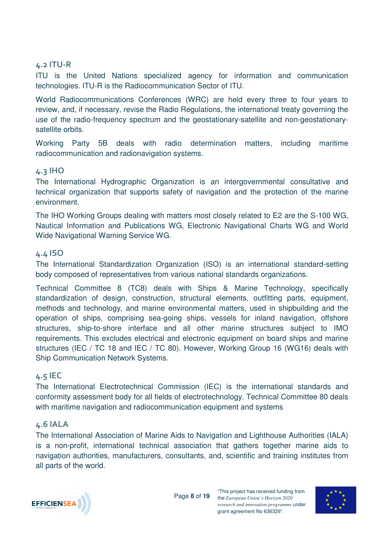#### **4.2 ITU-R**

ITU is the United Nations specialized agency for information and communication technologies. ITU-R is the Radiocommunication Sector of ITU.

World Radiocommunications Conferences (WRC) are held every three to four years to review, and, if necessary, revise the Radio Regulations, the international treaty governing the use of the radio-frequency spectrum and the geostationary-satellite and non-geostationarysatellite orbits.

Working Party 5B deals with radio determination matters, including maritime radiocommunication and radionavigation systems.

#### **4.3 IHO**

The International Hydrographic Organization is an intergovernmental consultative and technical organization that supports safety of navigation and the protection of the marine environment.

The IHO Working Groups dealing with matters most closely related to E2 are the S-100 WG, Nautical Information and Publications WG, Electronic Navigational Charts WG and World Wide Navigational Warning Service WG.

#### **4.4 ISO**

The International Standardization Organization (ISO) is an international standard-setting body composed of representatives from various national standards organizations.

Technical Committee 8 (TC8) deals with Ships & Marine Technology, specifically standardization of design, construction, structural elements, outfitting parts, equipment, methods and technology, and marine environmental matters, used in shipbuilding and the operation of ships, comprising sea-going ships, vessels for inland navigation, offshore structures, ship-to-shore interface and all other marine structures subject to IMO requirements. This excludes electrical and electronic equipment on board ships and marine structures (IEC / TC 18 and IEC / TC 80). However, Working Group 16 (WG16) deals with Ship Communication Network Systems.

#### **4.5 IEC**

The International Electrotechnical Commission (IEC) is the international standards and conformity assessment body for all fields of electrotechnology. Technical Committee 80 deals with maritime navigation and radiocommunication equipment and systems

#### **4.6 IALA**

The International Association of Marine Aids to Navigation and Lighthouse Authorities (IALA) is a non-profit, international technical association that gathers together marine aids to navigation authorities, manufacturers, consultants, and, scientific and training institutes from all parts of the world.



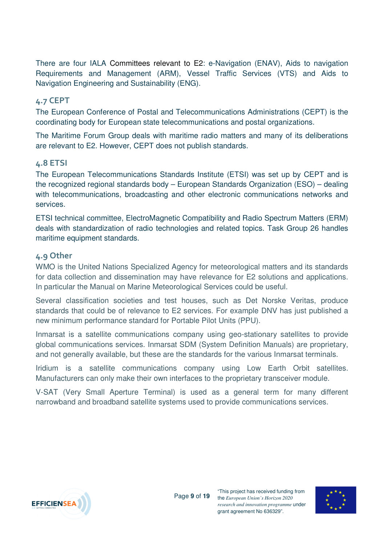There are four IALA Committees relevant to E2: e-Navigation (ENAV), Aids to navigation Requirements and Management (ARM), Vessel Traffic Services (VTS) and Aids to Navigation Engineering and Sustainability (ENG).

#### **4.7 CEPT**

The European Conference of Postal and Telecommunications Administrations (CEPT) is the coordinating body for European state telecommunications and postal organizations.

The Maritime Forum Group deals with maritime radio matters and many of its deliberations are relevant to E2. However, CEPT does not publish standards.

#### **4.8 ETSI**

The European Telecommunications Standards Institute (ETSI) was set up by CEPT and is the recognized regional standards body – European Standards Organization (ESO) – dealing with telecommunications, broadcasting and other electronic communications networks and services.

ETSI technical committee, ElectroMagnetic Compatibility and Radio Spectrum Matters (ERM) deals with standardization of radio technologies and related topics. Task Group 26 handles maritime equipment standards.

#### **4.9 Other**

WMO is the United Nations Specialized Agency for meteorological matters and its standards for data collection and dissemination may have relevance for E2 solutions and applications. In particular the Manual on Marine Meteorological Services could be useful.

Several classification societies and test houses, such as Det Norske Veritas, produce standards that could be of relevance to E2 services. For example DNV has just published a new minimum performance standard for Portable Pilot Units (PPU).

Inmarsat is a satellite communications company using geo-stationary satellites to provide global communications services. Inmarsat SDM (System Definition Manuals) are proprietary, and not generally available, but these are the standards for the various Inmarsat terminals.

Iridium is a satellite communications company using Low Earth Orbit satellites. Manufacturers can only make their own interfaces to the proprietary transceiver module.

V-SAT (Very Small Aperture Terminal) is used as a general term for many different narrowband and broadband satellite systems used to provide communications services.



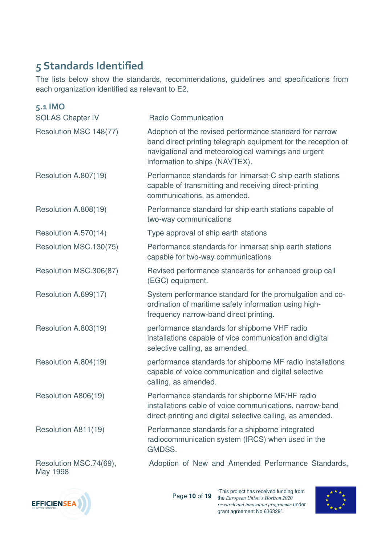## **5 Standards Identified**

The lists below show the standards, recommendations, guidelines and specifications from each organization identified as relevant to E2.

| $5.1$ IMO                          |                                                                                                                                                                                                                   |
|------------------------------------|-------------------------------------------------------------------------------------------------------------------------------------------------------------------------------------------------------------------|
| <b>SOLAS Chapter IV</b>            | <b>Radio Communication</b>                                                                                                                                                                                        |
| Resolution MSC 148(77)             | Adoption of the revised performance standard for narrow<br>band direct printing telegraph equipment for the reception of<br>navigational and meteorological warnings and urgent<br>information to ships (NAVTEX). |
| Resolution A.807(19)               | Performance standards for Inmarsat-C ship earth stations<br>capable of transmitting and receiving direct-printing<br>communications, as amended.                                                                  |
| Resolution A.808(19)               | Performance standard for ship earth stations capable of<br>two-way communications                                                                                                                                 |
| Resolution A.570(14)               | Type approval of ship earth stations                                                                                                                                                                              |
| Resolution MSC.130(75)             | Performance standards for Inmarsat ship earth stations<br>capable for two-way communications                                                                                                                      |
| Resolution MSC.306(87)             | Revised performance standards for enhanced group call<br>(EGC) equipment.                                                                                                                                         |
| Resolution A.699(17)               | System performance standard for the promulgation and co-<br>ordination of maritime safety information using high-<br>frequency narrow-band direct printing.                                                       |
| Resolution A.803(19)               | performance standards for shipborne VHF radio<br>installations capable of vice communication and digital<br>selective calling, as amended.                                                                        |
| Resolution A.804(19)               | performance standards for shipborne MF radio installations<br>capable of voice communication and digital selective<br>calling, as amended.                                                                        |
| Resolution A806(19)                | Performance standards for shipborne MF/HF radio<br>installations cable of voice communications, narrow-band<br>direct-printing and digital selective calling, as amended.                                         |
| Resolution A811(19)                | Performance standards for a shipborne integrated<br>radiocommunication system (IRCS) when used in the<br>GMDSS.                                                                                                   |
| Resolution MSC.74(69),<br>May 1998 | Adoption of New and Amended Performance Standards,                                                                                                                                                                |



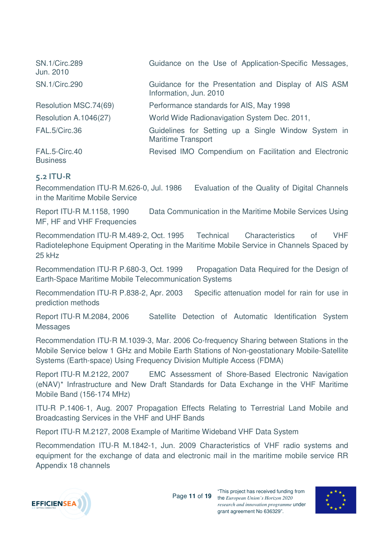| <b>SN.1/Circ.289</b><br>Jun. 2010 | Guidance on the Use of Application-Specific Messages,                            |
|-----------------------------------|----------------------------------------------------------------------------------|
| <b>SN.1/Circ.290</b>              | Guidance for the Presentation and Display of AIS ASM<br>Information, Jun. 2010   |
| Resolution MSC.74(69)             | Performance standards for AIS, May 1998                                          |
| Resolution A.1046(27)             | World Wide Radionavigation System Dec. 2011,                                     |
| FAL.5/Circ.36                     | Guidelines for Setting up a Single Window System in<br><b>Maritime Transport</b> |
| FAL.5-Circ.40<br><b>Business</b>  | Revised IMO Compendium on Facilitation and Electronic                            |

#### **5.2 ITU-R**

Recommendation ITU-R M.626-0, Jul. 1986 Evaluation of the Quality of Digital Channels in the Maritime Mobile Service

Report ITU-R M.1158, 1990 Data Communication in the Maritime Mobile Services Using MF, HF and VHF Frequencies

Recommendation ITU-R M.489-2, Oct. 1995 Technical Characteristics of VHF Radiotelephone Equipment Operating in the Maritime Mobile Service in Channels Spaced by 25 kHz

Recommendation ITU-R P.680-3, Oct. 1999 Propagation Data Required for the Design of Earth-Space Maritime Mobile Telecommunication Systems

Recommendation ITU-R P.838-2, Apr. 2003 Specific attenuation model for rain for use in prediction methods

Report ITU-R M.2084, 2006 Satellite Detection of Automatic Identification System Messages

Recommendation ITU-R M.1039-3, Mar. 2006 Co-frequency Sharing between Stations in the Mobile Service below 1 GHz and Mobile Earth Stations of Non-geostationary Mobile-Satellite Systems (Earth-space) Using Frequency Division Multiple Access (FDMA)

Report ITU-R M.2122, 2007 EMC Assessment of Shore-Based Electronic Navigation (eNAV)\* Infrastructure and New Draft Standards for Data Exchange in the VHF Maritime Mobile Band (156-174 MHz)

ITU-R P.1406-1, Aug. 2007 Propagation Effects Relating to Terrestrial Land Mobile and Broadcasting Services in the VHF and UHF Bands

Report ITU-R M.2127, 2008 Example of Maritime Wideband VHF Data System

Recommendation ITU-R M.1842-1, Jun. 2009 Characteristics of VHF radio systems and equipment for the exchange of data and electronic mail in the maritime mobile service RR Appendix 18 channels



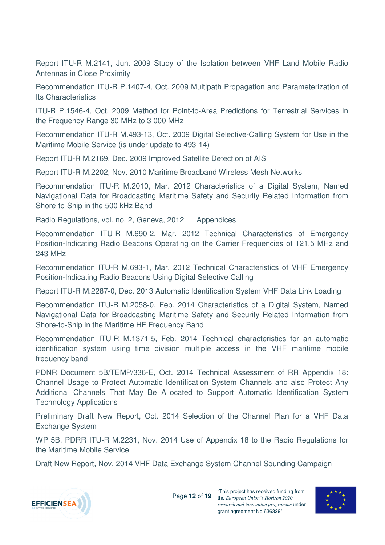Report ITU-R M.2141, Jun. 2009 Study of the Isolation between VHF Land Mobile Radio Antennas in Close Proximity

Recommendation ITU-R P.1407-4, Oct. 2009 Multipath Propagation and Parameterization of Its Characteristics

ITU-R P.1546-4, Oct. 2009 Method for Point-to-Area Predictions for Terrestrial Services in the Frequency Range 30 MHz to 3 000 MHz

Recommendation ITU-R M.493-13, Oct. 2009 Digital Selective-Calling System for Use in the Maritime Mobile Service (is under update to 493-14)

Report ITU-R M.2169, Dec. 2009 Improved Satellite Detection of AIS

Report ITU-R M.2202, Nov. 2010 Maritime Broadband Wireless Mesh Networks

Recommendation ITU-R M.2010, Mar. 2012 Characteristics of a Digital System, Named Navigational Data for Broadcasting Maritime Safety and Security Related Information from Shore-to-Ship in the 500 kHz Band

Radio Regulations, vol. no. 2, Geneva, 2012 Appendices

Recommendation ITU-R M.690-2, Mar. 2012 Technical Characteristics of Emergency Position-Indicating Radio Beacons Operating on the Carrier Frequencies of 121.5 MHz and 243 MHz

Recommendation ITU-R M.693-1, Mar. 2012 Technical Characteristics of VHF Emergency Position-Indicating Radio Beacons Using Digital Selective Calling

Report ITU-R M.2287-0, Dec. 2013 Automatic Identification System VHF Data Link Loading

Recommendation ITU-R M.2058-0, Feb. 2014 Characteristics of a Digital System, Named Navigational Data for Broadcasting Maritime Safety and Security Related Information from Shore-to-Ship in the Maritime HF Frequency Band

Recommendation ITU-R M.1371-5, Feb. 2014 Technical characteristics for an automatic identification system using time division multiple access in the VHF maritime mobile frequency band

PDNR Document 5B/TEMP/336-E, Oct. 2014 Technical Assessment of RR Appendix 18: Channel Usage to Protect Automatic Identification System Channels and also Protect Any Additional Channels That May Be Allocated to Support Automatic Identification System Technology Applications

Preliminary Draft New Report, Oct. 2014 Selection of the Channel Plan for a VHF Data Exchange System

WP 5B, PDRR ITU-R M.2231, Nov. 2014 Use of Appendix 18 to the Radio Regulations for the Maritime Mobile Service

Draft New Report, Nov. 2014 VHF Data Exchange System Channel Sounding Campaign



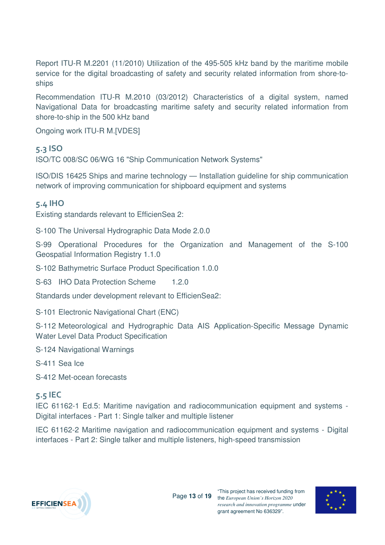Report ITU-R M.2201 (11/2010) Utilization of the 495-505 kHz band by the maritime mobile service for the digital broadcasting of safety and security related information from shore-toships

Recommendation ITU-R M.2010 (03/2012) Characteristics of a digital system, named Navigational Data for broadcasting maritime safety and security related information from shore-to-ship in the 500 kHz band

Ongoing work ITU-R M.[VDES]

#### **5.3 ISO**

ISO/TC 008/SC 06/WG 16 "Ship Communication Network Systems"

ISO/DIS 16425 Ships and marine technology — Installation guideline for ship communication network of improving communication for shipboard equipment and systems

#### **5.4 IHO**

Existing standards relevant to EfficienSea 2:

S-100 The Universal Hydrographic Data Mode 2.0.0

S-99 Operational Procedures for the Organization and Management of the S-100 Geospatial Information Registry 1.1.0

S-102 Bathymetric Surface Product Specification 1.0.0

S-63 IHO Data Protection Scheme 1.2.0

Standards under development relevant to EfficienSea2:

S-101 Electronic Navigational Chart (ENC)

S-112 Meteorological and Hydrographic Data AIS Application-Specific Message Dynamic Water Level Data Product Specification

S-124 Navigational Warnings

S-411 Sea Ice

S-412 Met-ocean forecasts

#### **5.5 IEC**

IEC 61162-1 Ed.5: Maritime navigation and radiocommunication equipment and systems - Digital interfaces - Part 1: Single talker and multiple listener

IEC 61162-2 Maritime navigation and radiocommunication equipment and systems - Digital interfaces - Part 2: Single talker and multiple listeners, high-speed transmission



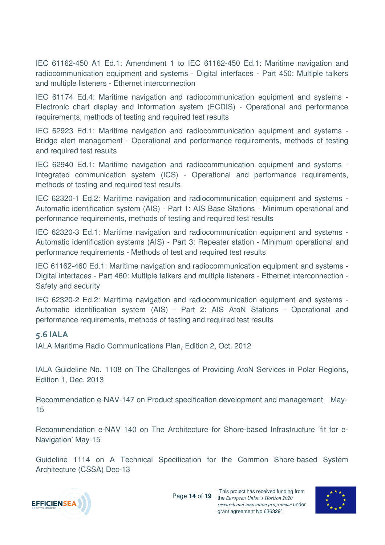IEC 61162-450 A1 Ed.1: Amendment 1 to IEC 61162-450 Ed.1: Maritime navigation and radiocommunication equipment and systems - Digital interfaces - Part 450: Multiple talkers and multiple listeners - Ethernet interconnection

IEC 61174 Ed.4: Maritime navigation and radiocommunication equipment and systems - Electronic chart display and information system (ECDIS) - Operational and performance requirements, methods of testing and required test results

IEC 62923 Ed.1: Maritime navigation and radiocommunication equipment and systems - Bridge alert management - Operational and performance requirements, methods of testing and required test results

IEC 62940 Ed.1: Maritime navigation and radiocommunication equipment and systems - Integrated communication system (ICS) - Operational and performance requirements, methods of testing and required test results

IEC 62320-1 Ed.2: Maritime navigation and radiocommunication equipment and systems - Automatic identification system (AIS) - Part 1: AIS Base Stations - Minimum operational and performance requirements, methods of testing and required test results

IEC 62320-3 Ed.1: Maritime navigation and radiocommunication equipment and systems - Automatic identification systems (AIS) - Part 3: Repeater station - Minimum operational and performance requirements - Methods of test and required test results

IEC 61162-460 Ed.1: Maritime navigation and radiocommunication equipment and systems - Digital interfaces - Part 460: Multiple talkers and multiple listeners - Ethernet interconnection - Safety and security

IEC 62320-2 Ed.2: Maritime navigation and radiocommunication equipment and systems - Automatic identification system (AIS) - Part 2: AIS AtoN Stations - Operational and performance requirements, methods of testing and required test results

#### **5.6 IALA**

IALA Maritime Radio Communications Plan, Edition 2, Oct. 2012

IALA Guideline No. 1108 on The Challenges of Providing AtoN Services in Polar Regions, Edition 1, Dec. 2013

Recommendation e-NAV-147 on Product specification development and management May-15

Recommendation e-NAV 140 on The Architecture for Shore-based Infrastructure 'fit for e-Navigation' May-15

Guideline 1114 on A Technical Specification for the Common Shore-based System Architecture (CSSA) Dec-13



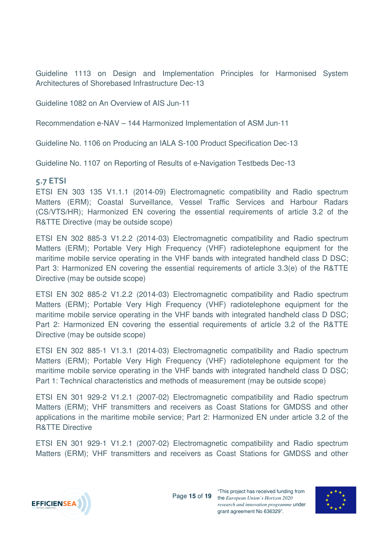Guideline 1113 on Design and Implementation Principles for Harmonised System Architectures of Shorebased Infrastructure Dec-13

Guideline 1082 on An Overview of AIS Jun-11

Recommendation e-NAV – 144 Harmonized Implementation of ASM Jun-11

Guideline No. 1106 on Producing an IALA S-100 Product Specification Dec-13

Guideline No. 1107 on Reporting of Results of e-Navigation Testbeds Dec-13

#### **5.7 ETSI**

ETSI EN 303 135 V1.1.1 (2014-09) Electromagnetic compatibility and Radio spectrum Matters (ERM); Coastal Surveillance, Vessel Traffic Services and Harbour Radars (CS/VTS/HR); Harmonized EN covering the essential requirements of article 3.2 of the R&TTE Directive (may be outside scope)

ETSI EN 302 885-3 V1.2.2 (2014-03) Electromagnetic compatibility and Radio spectrum Matters (ERM); Portable Very High Frequency (VHF) radiotelephone equipment for the maritime mobile service operating in the VHF bands with integrated handheld class D DSC; Part 3: Harmonized EN covering the essential requirements of article 3.3(e) of the R&TTE Directive (may be outside scope)

ETSI EN 302 885-2 V1.2.2 (2014-03) Electromagnetic compatibility and Radio spectrum Matters (ERM); Portable Very High Frequency (VHF) radiotelephone equipment for the maritime mobile service operating in the VHF bands with integrated handheld class D DSC; Part 2: Harmonized EN covering the essential requirements of article 3.2 of the R&TTE Directive (may be outside scope)

ETSI EN 302 885-1 V1.3.1 (2014-03) Electromagnetic compatibility and Radio spectrum Matters (ERM); Portable Very High Frequency (VHF) radiotelephone equipment for the maritime mobile service operating in the VHF bands with integrated handheld class D DSC; Part 1: Technical characteristics and methods of measurement (may be outside scope)

ETSI EN 301 929-2 V1.2.1 (2007-02) Electromagnetic compatibility and Radio spectrum Matters (ERM); VHF transmitters and receivers as Coast Stations for GMDSS and other applications in the maritime mobile service; Part 2: Harmonized EN under article 3.2 of the R&TTE Directive

ETSI EN 301 929-1 V1.2.1 (2007-02) Electromagnetic compatibility and Radio spectrum Matters (ERM); VHF transmitters and receivers as Coast Stations for GMDSS and other



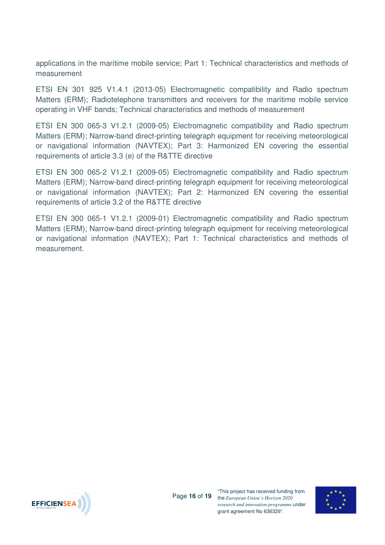applications in the maritime mobile service; Part 1: Technical characteristics and methods of measurement

ETSI EN 301 925 V1.4.1 (2013-05) Electromagnetic compatibility and Radio spectrum Matters (ERM); Radiotelephone transmitters and receivers for the maritime mobile service operating in VHF bands; Technical characteristics and methods of measurement

ETSI EN 300 065-3 V1.2.1 (2009-05) Electromagnetic compatibility and Radio spectrum Matters (ERM); Narrow-band direct-printing telegraph equipment for receiving meteorological or navigational information (NAVTEX); Part 3: Harmonized EN covering the essential requirements of article 3.3 (e) of the R&TTE directive

ETSI EN 300 065-2 V1.2.1 (2009-05) Electromagnetic compatibility and Radio spectrum Matters (ERM); Narrow-band direct-printing telegraph equipment for receiving meteorological or navigational information (NAVTEX); Part 2: Harmonized EN covering the essential requirements of article 3.2 of the R&TTE directive

ETSI EN 300 065-1 V1.2.1 (2009-01) Electromagnetic compatibility and Radio spectrum Matters (ERM); Narrow-band direct-printing telegraph equipment for receiving meteorological or navigational information (NAVTEX); Part 1: Technical characteristics and methods of measurement.



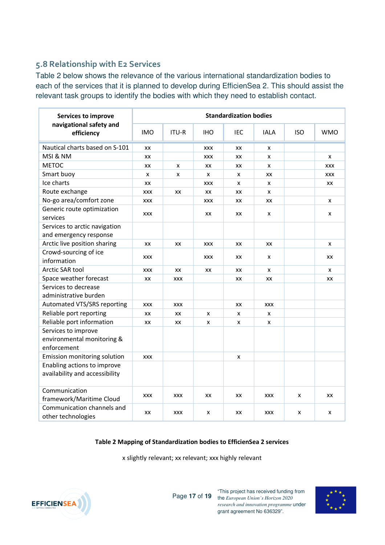### **5.8 Relationship with E2 Services**

Table 2 below shows the relevance of the various international standardization bodies to each of the services that it is planned to develop during EfficienSea 2. This should assist the relevant task groups to identify the bodies with which they need to establish contact.

| Services to improve<br>navigational safety and<br>efficiency     | <b>Standardization bodies</b> |              |            |     |             |            |            |  |
|------------------------------------------------------------------|-------------------------------|--------------|------------|-----|-------------|------------|------------|--|
|                                                                  | <b>IMO</b>                    | <b>ITU-R</b> | <b>IHO</b> | IEC | <b>IALA</b> | <b>ISO</b> | <b>WMO</b> |  |
| Nautical charts based on S-101                                   | XX                            |              | <b>XXX</b> | XX  | x           |            |            |  |
| MSI & NM                                                         | XX                            |              | XXX        | XX  | x           |            | x          |  |
| <b>METOC</b>                                                     | XX                            | x            | XX         | XX  | x           |            | <b>XXX</b> |  |
| Smart buoy                                                       | X                             | x            | X          | X   | XX          |            | <b>XXX</b> |  |
| Ice charts                                                       | XX                            |              | <b>XXX</b> | x   | x           |            | XX         |  |
| Route exchange                                                   | <b>XXX</b>                    | XX           | XX         | XX  | x           |            |            |  |
| No-go area/comfort zone                                          | <b>XXX</b>                    |              | <b>XXX</b> | XX  | ХX          |            | x          |  |
| Generic route optimization<br>services                           | <b>XXX</b>                    |              | XX         | ХX  | x           |            | x          |  |
| Services to arctic navigation<br>and emergency response          |                               |              |            |     |             |            |            |  |
| Arctic live position sharing                                     | XX                            | XX           | <b>XXX</b> | XX  | XX          |            | X          |  |
| Crowd-sourcing of ice<br>information                             | XXX                           |              | XXX        | XХ  | x           |            | XX         |  |
| Arctic SAR tool                                                  | <b>XXX</b>                    | XX           | XX         | XX  | x           |            | x          |  |
| Space weather forecast                                           | $\mathsf{X}\mathsf{X}$        | <b>XXX</b>   |            | XX  | XX          |            | XX         |  |
| Services to decrease<br>administrative burden                    |                               |              |            |     |             |            |            |  |
| Automated VTS/SRS reporting                                      | <b>XXX</b>                    | <b>XXX</b>   |            | XX  | <b>XXX</b>  |            |            |  |
| Reliable port reporting                                          | XX                            | XX           | X          | X   | X           |            |            |  |
| Reliable port information                                        | XX                            | XX           | X          | x   | x           |            |            |  |
| Services to improve<br>environmental monitoring &<br>enforcement |                               |              |            |     |             |            |            |  |
| Emission monitoring solution                                     | <b>XXX</b>                    |              |            | x   |             |            |            |  |
| Enabling actions to improve<br>availability and accessibility    |                               |              |            |     |             |            |            |  |
| Communication<br>framework/Maritime Cloud                        | <b>XXX</b>                    | <b>XXX</b>   | XX         | XX  | XXX         | X          | XX         |  |
| Communication channels and<br>other technologies                 | XX                            | <b>XXX</b>   | X          | XX  | XXX         | x          | x          |  |

#### **Table 2 Mapping of Standardization bodies to EfficienSea 2 services**

x slightly relevant; xx relevant; xxx highly relevant



Page **17** of **19** the *European Union's Horizon 2020*  "This project has received funding from *research and innovation programme* under grant agreement No 636329".

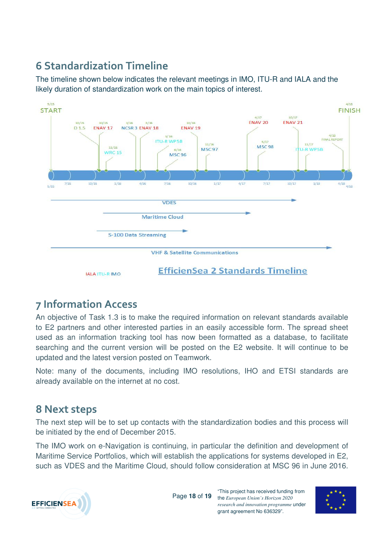## **6 Standardization Timeline**

The timeline shown below indicates the relevant meetings in IMO, ITU-R and IALA and the likely duration of standardization work on the main topics of interest.



## **7 Information Access**

An objective of Task 1.3 is to make the required information on relevant standards available to E2 partners and other interested parties in an easily accessible form. The spread sheet used as an information tracking tool has now been formatted as a database, to facilitate searching and the current version will be posted on the E2 website. It will continue to be updated and the latest version posted on Teamwork.

Note: many of the documents, including IMO resolutions, IHO and ETSI standards are already available on the internet at no cost.

### **8 Next steps**

The next step will be to set up contacts with the standardization bodies and this process will be initiated by the end of December 2015.

The IMO work on e-Navigation is continuing, in particular the definition and development of Maritime Service Portfolios, which will establish the applications for systems developed in E2, such as VDES and the Maritime Cloud, should follow consideration at MSC 96 in June 2016.



Page **18** of **19**